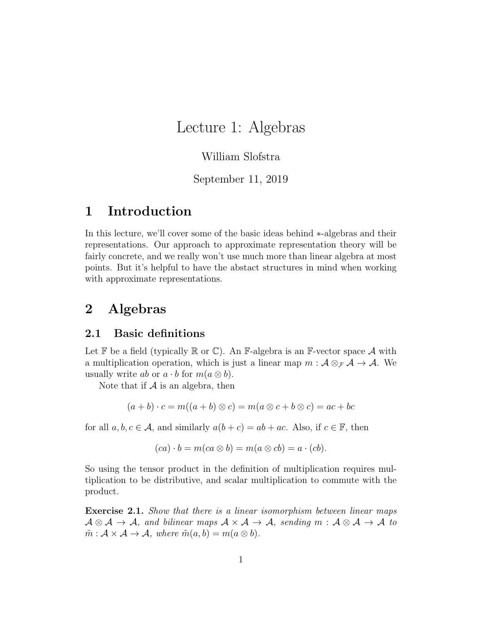# Lecture 1: Algebras

### William Slofstra

### September 11, 2019

## 1 Introduction

In this lecture, we'll cover some of the basic ideas behind ∗-algebras and their representations. Our approach to approximate representation theory will be fairly concrete, and we really won't use much more than linear algebra at most points. But it's helpful to have the abstact structures in mind when working with approximate representations.

# 2 Algebras

#### 2.1 Basic definitions

Let  $\mathbb F$  be a field (typically  $\mathbb R$  or  $\mathbb C$ ). An  $\mathbb F$ -algebra is an  $\mathbb F$ -vector space  $\mathcal A$  with a multiplication operation, which is just a linear map  $m : \mathcal{A} \otimes_{\mathcal{F}} \mathcal{A} \to \mathcal{A}$ . We usually write ab or  $a \cdot b$  for  $m(a \otimes b)$ .

Note that if  $A$  is an algebra, then

$$
(a+b)\cdot c = m((a+b)\otimes c) = m(a\otimes c + b\otimes c) = ac + bc
$$

for all  $a, b, c \in \mathcal{A}$ , and similarly  $a(b+c) = ab + ac$ . Also, if  $c \in \mathbb{F}$ , then

$$
(ca) \cdot b = m(ca \otimes b) = m(a \otimes cb) = a \cdot (cb).
$$

So using the tensor product in the definition of multiplication requires multiplication to be distributive, and scalar multiplication to commute with the product.

Exercise 2.1. Show that there is a linear isomorphism between linear maps  $A \otimes A \to A$ , and bilinear maps  $A \times A \to A$ , sending  $m : A \otimes A \to A$  to  $\tilde{m}: A \times A \rightarrow A$ , where  $\tilde{m}(a, b) = m(a \otimes b)$ .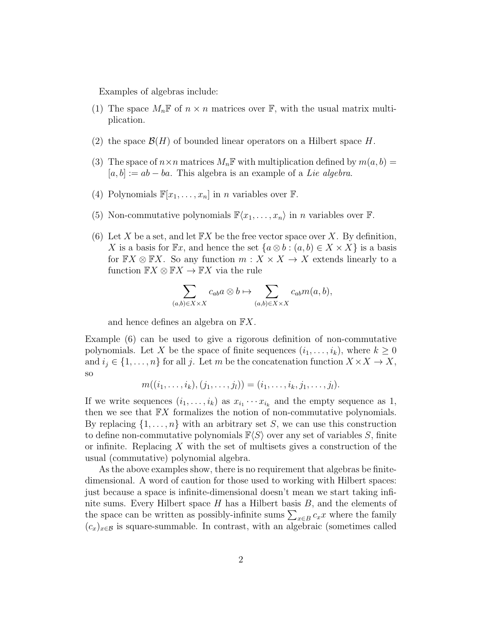Examples of algebras include:

- (1) The space  $M_n\mathbb{F}$  of  $n \times n$  matrices over  $\mathbb{F}$ , with the usual matrix multiplication.
- (2) the space  $\mathcal{B}(H)$  of bounded linear operators on a Hilbert space H.
- (3) The space of  $n \times n$  matrices  $M_n \mathbb{F}$  with multiplication defined by  $m(a, b) =$  $[a, b] := ab - ba$ . This algebra is an example of a Lie algebra.
- (4) Polynomials  $\mathbb{F}[x_1,\ldots,x_n]$  in *n* variables over  $\mathbb{F}$ .
- (5) Non-commutative polynomials  $\mathbb{F}\langle x_1, \ldots, x_n \rangle$  in n variables over  $\mathbb{F}$ .
- (6) Let X be a set, and let  $\mathbb{F}X$  be the free vector space over X. By definition, X is a basis for  $\mathbb{F}x$ , and hence the set  $\{a\otimes b : (a, b) \in X \times X\}$  is a basis for  $\mathbb{F}X \otimes \mathbb{F}X$ . So any function  $m : X \times X \to X$  extends linearly to a function  $\mathbb{F}X \otimes \mathbb{F}X \to \mathbb{F}X$  via the rule

$$
\sum_{(a,b)\in X\times X}c_{ab}a\otimes b\mapsto \sum_{(a,b)\in X\times X}c_{ab}m(a,b),
$$

and hence defines an algebra on FX.

Example (6) can be used to give a rigorous definition of non-commutative polynomials. Let X be the space of finite sequences  $(i_1, \ldots, i_k)$ , where  $k \geq 0$ and  $i_j \in \{1, \ldots, n\}$  for all j. Let m be the concatenation function  $X \times X \to X$ , so

$$
m((i_1,\ldots,i_k),(j_1,\ldots,j_l))=(i_1,\ldots,i_k,j_1,\ldots,j_l).
$$

If we write sequences  $(i_1, \ldots, i_k)$  as  $x_{i_1} \cdots x_{i_k}$  and the empty sequence as 1, then we see that  $\mathbb{F}X$  formalizes the notion of non-commutative polynomials. By replacing  $\{1, \ldots, n\}$  with an arbitrary set S, we can use this construction to define non-commutative polynomials  $\mathbb{F}\langle S\rangle$  over any set of variables S, finite or infinite. Replacing X with the set of multisets gives a construction of the usual (commutative) polynomial algebra.

As the above examples show, there is no requirement that algebras be finitedimensional. A word of caution for those used to working with Hilbert spaces: just because a space is infinite-dimensional doesn't mean we start taking infinite sums. Every Hilbert space  $H$  has a Hilbert basis  $B$ , and the elements of the space can be written as possibly-infinite sums  $\sum_{x \in B} c_x x$  where the family  $(c_x)_{x\in\mathcal{B}}$  is square-summable. In contrast, with an algebraic (sometimes called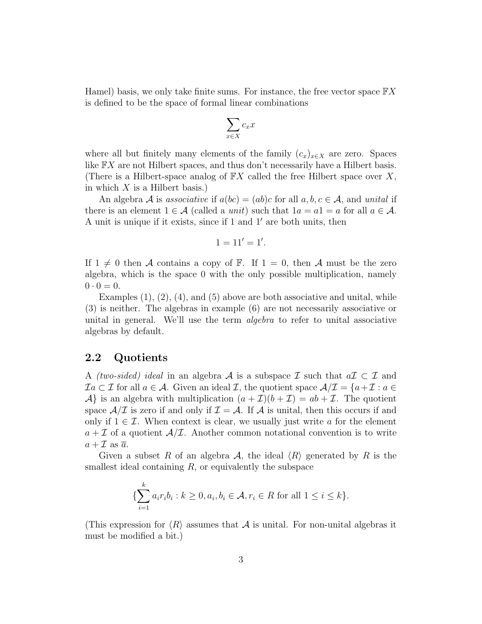Hamel) basis, we only take finite sums. For instance, the free vector space  $\mathbb{F} X$ is defined to be the space of formal linear combinations

$$
\sum_{x \in X} c_x x
$$

where all but finitely many elements of the family  $(c_x)_{x\in X}$  are zero. Spaces like FX are not Hilbert spaces, and thus don't necessarily have a Hilbert basis. (There is a Hilbert-space analog of  $\mathbb{F}X$  called the free Hilbert space over X, in which  $X$  is a Hilbert basis.)

An algebra A is associative if  $a(bc) = (ab)c$  for all  $a, b, c \in \mathcal{A}$ , and unital if there is an element  $1 \in \mathcal{A}$  (called a *unit*) such that  $1a = a1 = a$  for all  $a \in \mathcal{A}$ . A unit is unique if it exists, since if 1 and  $1'$  are both units, then

$$
1=11'=1'.
$$

If  $1 \neq 0$  then A contains a copy of F. If  $1 = 0$ , then A must be the zero algebra, which is the space 0 with the only possible multiplication, namely  $0 \cdot 0 = 0.$ 

Examples  $(1), (2), (4),$  and  $(5)$  above are both associative and unital, while (3) is neither. The algebras in example (6) are not necessarily associative or unital in general. We'll use the term *algebra* to refer to unital associative algebras by default.

#### 2.2 Quotients

A *(two-sided) ideal* in an algebra A is a subspace  $\mathcal I$  such that  $a\mathcal{I} \subset \mathcal{I}$  and  $\mathcal{I}a \subset \mathcal{I}$  for all  $a \in \mathcal{A}$ . Given an ideal  $\mathcal{I}$ , the quotient space  $\mathcal{A}/\mathcal{I} = \{a + \mathcal{I} : a \in \mathcal{I}\}$  $\mathcal{A}\}$  is an algebra with multiplication  $(a+\mathcal{I})(b+\mathcal{I}) = ab+\mathcal{I}$ . The quotient space  $\mathcal{A}/\mathcal{I}$  is zero if and only if  $\mathcal{I} = \mathcal{A}$ . If  $\mathcal{A}$  is unital, then this occurs if and only if  $1 \in \mathcal{I}$ . When context is clear, we usually just write a for the element  $a + \mathcal{I}$  of a quotient  $\mathcal{A}/\mathcal{I}$ . Another common notational convention is to write  $a + \mathcal{I}$  as  $\overline{a}$ .

Given a subset R of an algebra  $\mathcal{A}$ , the ideal  $\langle R \rangle$  generated by R is the smallest ideal containing  $R$ , or equivalently the subspace

$$
\{\sum_{i=1}^{k} a_i r_i b_i : k \ge 0, a_i, b_i \in \mathcal{A}, r_i \in R \text{ for all } 1 \le i \le k\}.
$$

(This expression for  $\langle R \rangle$  assumes that A is unital. For non-unital algebras it must be modified a bit.)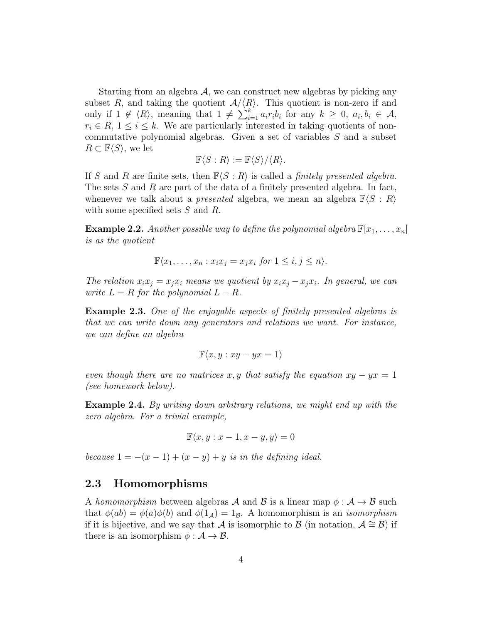Starting from an algebra  $A$ , we can construct new algebras by picking any subset R, and taking the quotient  $A/\langle R\rangle$ . This quotient is non-zero if and only if  $1 \notin \langle R \rangle$ , meaning that  $1 \neq \sum_{i=1}^{k} a_i r_i b_i$  for any  $k \geq 0$ ,  $a_i, b_i \in \mathcal{A}$ ,  $r_i \in R$ ,  $1 \leq i \leq k$ . We are particularly interested in taking quotients of noncommutative polynomial algebras. Given a set of variables S and a subset  $R \subset \mathbb{F}\langle S \rangle$ , we let

$$
\mathbb{F}\langle S:R\rangle := \mathbb{F}\langle S\rangle/\langle R\rangle.
$$

If S and R are finite sets, then  $\mathbb{F}\langle S : R \rangle$  is called a *finitely presented algebra*. The sets S and R are part of the data of a finitely presented algebra. In fact, whenever we talk about a *presented* algebra, we mean an algebra  $\mathbb{F}\langle S : R \rangle$ with some specified sets S and R.

**Example 2.2.** Another possible way to define the polynomial algebra  $\mathbb{F}[x_1, \ldots, x_n]$ is as the quotient

$$
\mathbb{F}\langle x_1,\ldots,x_n : x_ix_j = x_jx_i \text{ for } 1 \le i,j \le n \rangle.
$$

The relation  $x_ix_j = x_jx_i$  means we quotient by  $x_ix_j - x_jx_i$ . In general, we can write  $L = R$  for the polynomial  $L - R$ .

Example 2.3. One of the enjoyable aspects of finitely presented algebras is that we can write down any generators and relations we want. For instance, we can define an algebra

$$
\mathbb{F}\langle x, y : xy - yx = 1 \rangle
$$

even though there are no matrices x, y that satisfy the equation  $xy - yx = 1$ (see homework below).

Example 2.4. By writing down arbitrary relations, we might end up with the zero algebra. For a trivial example,

$$
\mathbb{F}\langle x, y : x - 1, x - y, y \rangle = 0
$$

because  $1 = -(x - 1) + (x - y) + y$  is in the defining ideal.

#### 2.3 Homomorphisms

A homomorphism between algebras A and B is a linear map  $\phi : \mathcal{A} \to \mathcal{B}$  such that  $\phi(ab) = \phi(a)\phi(b)$  and  $\phi(1_A) = 1_B$ . A homomorphism is an *isomorphism* if it is bijective, and we say that A is isomorphic to B (in notation,  $A \cong B$ ) if there is an isomorphism  $\phi : A \to B$ .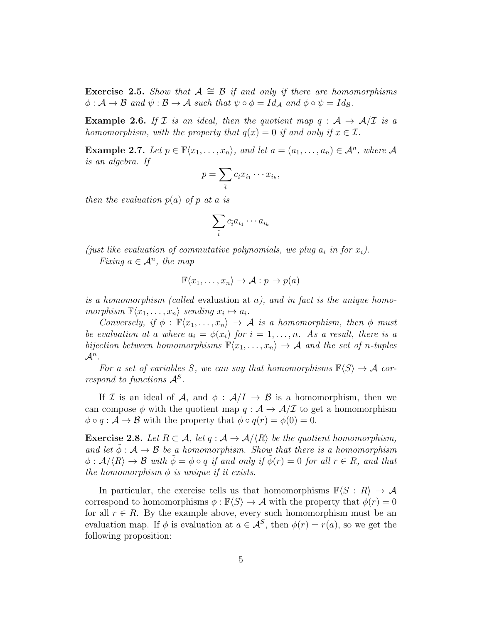Exercise 2.5. Show that  $A \cong \mathcal{B}$  if and only if there are homomorphisms  $\phi : \mathcal{A} \to \mathcal{B}$  and  $\psi : \mathcal{B} \to \mathcal{A}$  such that  $\psi \circ \phi = Id_{\mathcal{A}}$  and  $\phi \circ \psi = Id_{\mathcal{B}}$ .

**Example 2.6.** If  $\mathcal{I}$  is an ideal, then the quotient map  $q : \mathcal{A} \rightarrow \mathcal{A}/\mathcal{I}$  is a homomorphism, with the property that  $q(x) = 0$  if and only if  $x \in \mathcal{I}$ .

**Example 2.7.** Let  $p \in \mathbb{F}\langle x_1, \ldots, x_n \rangle$ , and let  $a = (a_1, \ldots, a_n) \in \mathcal{A}^n$ , where  $\mathcal{A}$ is an algebra. If

$$
p=\sum_{\tilde{i}}c_{\tilde{i}}x_{i_1}\cdots x_{i_k},
$$

then the evaluation  $p(a)$  of p at a is

$$
\sum_{\tilde{i}} c_{\tilde{i}} a_{i_1} \cdots a_{i_k}
$$

(just like evaluation of commutative polynomials, we plug  $a_i$  in for  $x_i$ ). Fixing  $a \in \mathcal{A}^n$ , the map

$$
\mathbb{F}\langle x_1,\ldots,x_n\rangle\to\mathcal{A}:p\mapsto p(a)
$$

is a homomorphism (called evaluation at  $a$ ), and in fact is the unique homomorphism  $\mathbb{F}\langle x_1,\ldots,x_n\rangle$  sending  $x_i\mapsto a_i$ .

Conversely, if  $\phi : \mathbb{F}\langle x_1, \ldots, x_n \rangle \to \mathcal{A}$  is a homomorphism, then  $\phi$  must be evaluation at a where  $a_i = \phi(x_i)$  for  $i = 1, \ldots, n$ . As a result, there is a bijection between homomorphisms  $\mathbb{F}\langle x_1, \ldots, x_n \rangle \to A$  and the set of n-tuples  $\mathcal{A}^n$  .

For a set of variables S, we can say that homomorphisms  $\mathbb{F}\langle S \rangle \to \mathcal{A}$  correspond to functions  $\mathcal{A}^S$ .

If I is an ideal of A, and  $\phi : A/I \rightarrow B$  is a homomorphism, then we can compose  $\phi$  with the quotient map  $q : A \rightarrow A/\mathcal{I}$  to get a homomorphism  $\phi \circ q : A \to B$  with the property that  $\phi \circ q(r) = \phi(0) = 0$ .

**Exercise 2.8.** Let  $R \subset \mathcal{A}$ , let  $q : \mathcal{A} \to \mathcal{A}/\langle R \rangle$  be the quotient homomorphism, and let  $\phi : A \rightarrow B$  be a homomorphism. Show that there is a homomorphism  $\phi : \mathcal{A}/\langle R \rangle \to \mathcal{B}$  with  $\phi = \phi \circ q$  if and only if  $\phi(r) = 0$  for all  $r \in R$ , and that the homomorphism  $\phi$  is unique if it exists.

In particular, the exercise tells us that homomorphisms  $\mathbb{F}\langle S : R \rangle \to \mathcal{A}$ correspond to homomorphisms  $\phi : \mathbb{F}\langle S \rangle \to A$  with the property that  $\phi(r) = 0$ for all  $r \in R$ . By the example above, every such homomorphism must be an evaluation map. If  $\phi$  is evaluation at  $a \in \mathcal{A}^S$ , then  $\phi(r) = r(a)$ , so we get the following proposition: